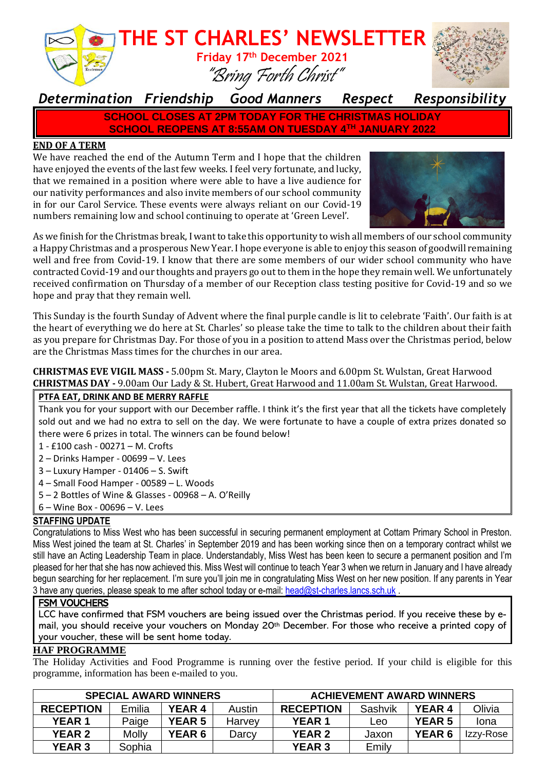

## *Determination Friendship Good Manners Respect Responsibility*

**SCHOOL CLOSES AT 2PM TODAY FOR THE CHRISTMAS HOLIDAY SCHOOL REOPENS AT 8:55AM ON TUESDAY 4TH JANUARY 2022**

### **END OF A TERM**

We have reached the end of the Autumn Term and I hope that the children have enjoyed the events of the last few weeks. I feel very fortunate, and lucky, that we remained in a position where were able to have a live audience for our nativity performances and also invite members of our school community in for our Carol Service. These events were always reliant on our Covid-19 numbers remaining low and school continuing to operate at 'Green Level'.



As we finish for the Christmas break, I want to take this opportunity to wish all members of our school community a Happy Christmas and a prosperous New Year. I hope everyone is able to enjoy this season of goodwill remaining well and free from Covid-19. I know that there are some members of our wider school community who have contracted Covid-19 and our thoughts and prayers go out to them in the hope they remain well. We unfortunately received confirmation on Thursday of a member of our Reception class testing positive for Covid-19 and so we hope and pray that they remain well.

This Sunday is the fourth Sunday of Advent where the final purple candle is lit to celebrate 'Faith'. Our faith is at the heart of everything we do here at St. Charles' so please take the time to talk to the children about their faith as you prepare for Christmas Day. For those of you in a position to attend Mass over the Christmas period, below are the Christmas Mass times for the churches in our area.

**CHRISTMAS EVE VIGIL MASS -** 5.00pm St. Mary, Clayton le Moors and 6.00pm St. Wulstan, Great Harwood **CHRISTMAS DAY -** 9.00am Our Lady & St. Hubert, Great Harwood and 11.00am St. Wulstan, Great Harwood.

### **PTFA EAT, DRINK AND BE MERRY RAFFLE**

Thank you for your support with our December raffle. I think it's the first year that all the tickets have completely sold out and we had no extra to sell on the day. We were fortunate to have a couple of extra prizes donated so there were 6 prizes in total. The winners can be found below!

- 1 £100 cash 00271 M. Crofts
- 2 Drinks Hamper 00699 V. Lees
- 3 Luxury Hamper 01406 S. Swift
- 4 Small Food Hamper 00589 L. Woods
- 5 2 Bottles of Wine & Glasses 00968 A. O'Reilly
- 6 Wine Box 00696 V. Lees

### **STAFFING UPDATE**

Congratulations to Miss West who has been successful in securing permanent employment at Cottam Primary School in Preston. Miss West joined the team at St. Charles' in September 2019 and has been working since then on a temporary contract whilst we still have an Acting Leadership Team in place. Understandably, Miss West has been keen to secure a permanent position and I'm pleased for her that she has now achieved this. Miss West will continue to teach Year 3 when we return in January and I have already begun searching for her replacement. I'm sure you'll join me in congratulating Miss West on her new position. If any parents in Year 3 have any queries, please speak to me after school today or e-mail: [head@st-charles.lancs.sch.uk](mailto:head@st-charles.lancs.sch.uk).

#### **FSM VOUCHERS**

LCC have confirmed that FSM vouchers are being issued over the Christmas period. If you receive these by email, you should receive your vouchers on Monday 20th December. For those who receive a printed copy of your voucher, these will be sent home today.

#### **HAF PROGRAMME**

The Holiday Activities and Food Programme is running over the festive period. If your child is eligible for this programme, information has been e-mailed to you.

| <b>SPECIAL AWARD WINNERS</b> |              |               |        | <b>ACHIEVEMENT AWARD WINNERS</b> |         |               |           |
|------------------------------|--------------|---------------|--------|----------------------------------|---------|---------------|-----------|
| <b>RECEPTION</b>             | Emilia       | YEAR 4        | Austin | <b>RECEPTION</b>                 | Sashvik | <b>YEAR 4</b> | Olivia    |
| <b>YEAR 1</b>                | Paige        | <b>YEAR 5</b> | Harvey | <b>YEAR 1</b>                    | _eo     | <b>YEAR 5</b> | Iona      |
| <b>YEAR 2</b>                | <b>Molly</b> | <b>YEAR 6</b> | Darcy  | <b>YEAR 2</b>                    | Jaxon   | <b>YEAR 6</b> | Izzy-Rose |
| <b>YEAR 3</b>                | Sophia       |               |        | <b>YEAR 3</b>                    | Emily   |               |           |